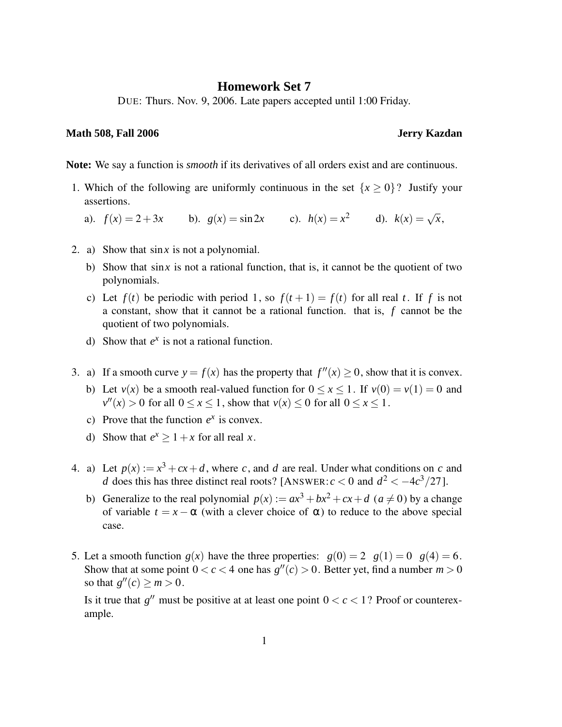## **Homework Set 7**

DUE: Thurs. Nov. 9, 2006. Late papers accepted until 1:00 Friday.

## **Math 508, Fall 2006 Jerry Kazdan**

**Note:** We say a function is *smooth* if its derivatives of all orders exist and are continuous.

- 1. Which of the following are uniformly continuous in the set  $\{x \ge 0\}$ ? Justify your assertions.
	- a).  $f(x) = 2 + 3x$  b).  $g(x) = \sin 2x$  c).  $h(x) = x^2$  d).  $k(x) = \sqrt{x}$ ,
- 2. a) Show that sin*x* is not a polynomial.
	- b) Show that sin*x* is not a rational function, that is, it cannot be the quotient of two polynomials.
	- c) Let  $f(t)$  be periodic with period 1, so  $f(t+1) = f(t)$  for all real *t*. If *f* is not a constant, show that it cannot be a rational function. that is, *f* cannot be the quotient of two polynomials.
	- d) Show that  $e^x$  is not a rational function.
- 3. a) If a smooth curve  $y = f(x)$  has the property that  $f''(x) \ge 0$ , show that it is convex.
	- b) Let  $v(x)$  be a smooth real-valued function for  $0 \le x \le 1$ . If  $v(0) = v(1) = 0$  and  $v''(x) > 0$  for all  $0 \le x \le 1$ , show that  $v(x) \le 0$  for all  $0 \le x \le 1$ .
	- c) Prove that the function  $e^x$  is convex.
	- d) Show that  $e^x \ge 1 + x$  for all real *x*.
- 4. a) Let  $p(x) := x^3 + cx + d$ , where *c*, and *d* are real. Under what conditions on *c* and *d* does this has three distinct real roots? [ANSWER:  $c < 0$  and  $d^2 < -4c^3/27$ ].
	- b) Generalize to the real polynomial  $p(x) := ax^3 + bx^2 + cx + d$  ( $a \ne 0$ ) by a change of variable  $t = x - \alpha$  (with a clever choice of  $\alpha$ ) to reduce to the above special case.
- 5. Let a smooth function  $g(x)$  have the three properties:  $g(0) = 2$   $g(1) = 0$   $g(4) = 6$ . Show that at some point  $0 < c < 4$  one has  $g''(c) > 0$ . Better yet, find a number  $m > 0$ so that  $g''(c) \ge m > 0$ .

Is it true that  $g''$  must be positive at at least one point  $0 < c < 1$ ? Proof or counterexample.